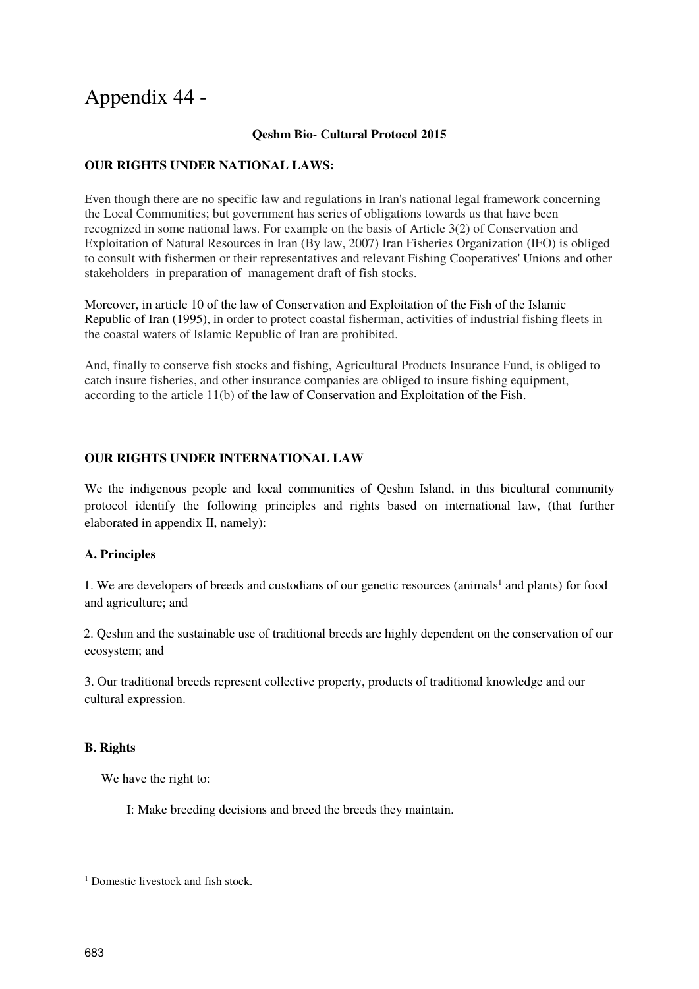# Appendix 44 -

## **Qeshm Bio- Cultural Protocol 2015**

# **OUR RIGHTS UNDER NATIONAL LAWS:**

Even though there are no specific law and regulations in Iran's national legal framework concerning the Local Communities; but government has series of obligations towards us that have been recognized in some national laws. For example on the basis of Article 3(2) of Conservation and Exploitation of Natural Resources in Iran (By law, 2007) Iran Fisheries Organization (IFO) is obliged to consult with fishermen or their representatives and relevant Fishing Cooperatives' Unions and other stakeholders in preparation of management draft of fish stocks.

Moreover, in article 10 of the law of Conservation and Exploitation of the Fish of the Islamic Republic of Iran (1995), in order to protect coastal fisherman, activities of industrial fishing fleets in the coastal waters of Islamic Republic of Iran are prohibited.

And, finally to conserve fish stocks and fishing, Agricultural Products Insurance Fund, is obliged to catch insure fisheries, and other insurance companies are obliged to insure fishing equipment, according to the article 11(b) of the law of Conservation and Exploitation of the Fish.

## **OUR RIGHTS UNDER INTERNATIONAL LAW**

We the indigenous people and local communities of Qeshm Island, in this bicultural community protocol identify the following principles and rights based on international law, (that further elaborated in appendix II, namely):

## **A. Principles**

1. We are developers of breeds and custodians of our genetic resources (animals<sup>1</sup> and plants) for food and agriculture; and

2. Qeshm and the sustainable use of traditional breeds are highly dependent on the conservation of our ecosystem; and

3. Our traditional breeds represent collective property, products of traditional knowledge and our cultural expression.

## **B. Rights**

We have the right to:

I: Make breeding decisions and breed the breeds they maintain.

<sup>&</sup>lt;sup>1</sup> Domestic livestock and fish stock.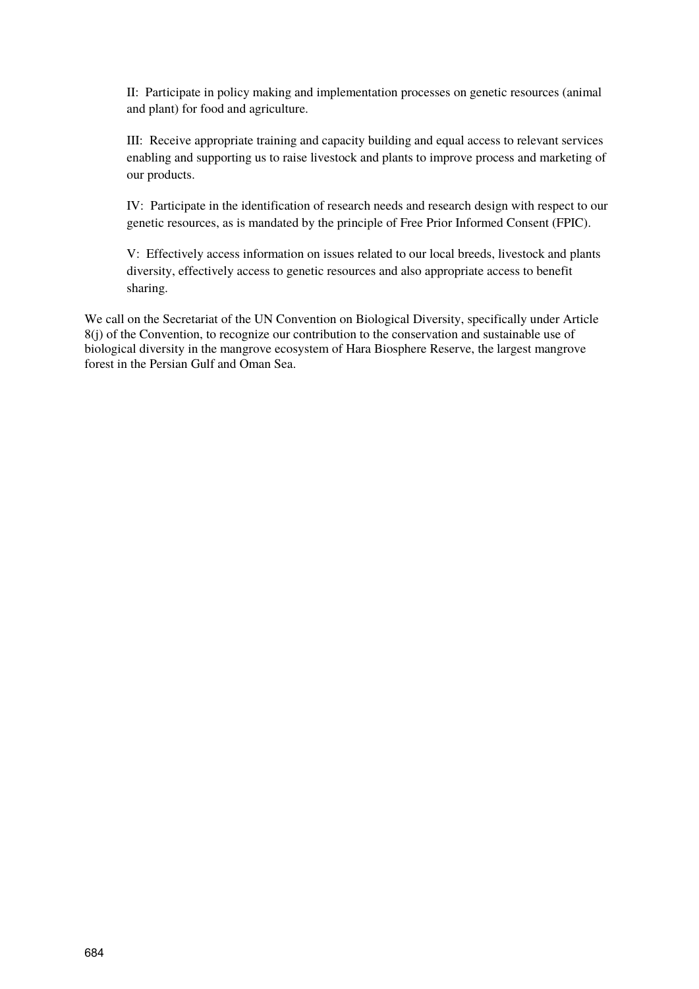II: Participate in policy making and implementation processes on genetic resources (animal and plant) for food and agriculture.

 III: Receive appropriate training and capacity building and equal access to relevant services enabling and supporting us to raise livestock and plants to improve process and marketing of our products.

 IV: Participate in the identification of research needs and research design with respect to our genetic resources, as is mandated by the principle of Free Prior Informed Consent (FPIC).

 V: Effectively access information on issues related to our local breeds, livestock and plants diversity, effectively access to genetic resources and also appropriate access to benefit sharing.

We call on the Secretariat of the UN Convention on Biological Diversity, specifically under Article 8(j) of the Convention, to recognize our contribution to the conservation and sustainable use of biological diversity in the mangrove ecosystem of Hara Biosphere Reserve, the largest mangrove forest in the Persian Gulf and Oman Sea.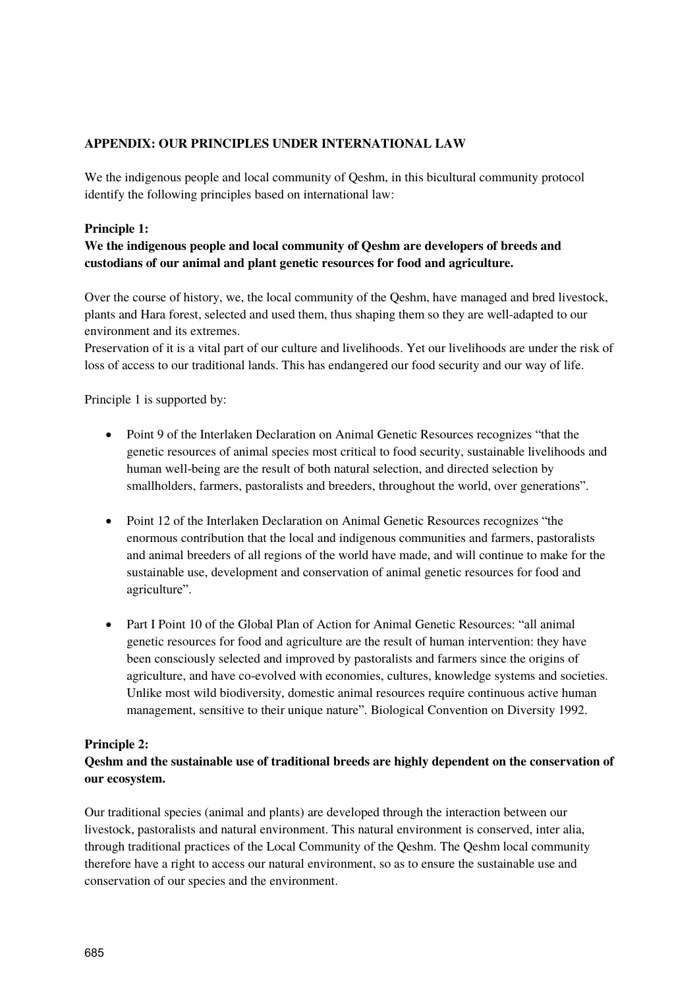# **APPENDIX: OUR PRINCIPLES UNDER INTERNATIONAL LAW**

We the indigenous people and local community of Oeshm, in this bicultural community protocol identify the following principles based on international law:

## **Principle 1:**

# **We the indigenous people and local community of Qeshm are developers of breeds and custodians of our animal and plant genetic resources for food and agriculture.**

Over the course of history, we, the local community of the Qeshm, have managed and bred livestock, plants and Hara forest, selected and used them, thus shaping them so they are well-adapted to our environment and its extremes.

Preservation of it is a vital part of our culture and livelihoods. Yet our livelihoods are under the risk of loss of access to our traditional lands. This has endangered our food security and our way of life.

Principle 1 is supported by:

- Point 9 of the Interlaken Declaration on Animal Genetic Resources recognizes "that the genetic resources of animal species most critical to food security, sustainable livelihoods and human well-being are the result of both natural selection, and directed selection by smallholders, farmers, pastoralists and breeders, throughout the world, over generations".
- Point 12 of the Interlaken Declaration on Animal Genetic Resources recognizes "the enormous contribution that the local and indigenous communities and farmers, pastoralists and animal breeders of all regions of the world have made, and will continue to make for the sustainable use, development and conservation of animal genetic resources for food and agriculture".
- Part I Point 10 of the Global Plan of Action for Animal Genetic Resources: "all animal genetic resources for food and agriculture are the result of human intervention: they have been consciously selected and improved by pastoralists and farmers since the origins of agriculture, and have co-evolved with economies, cultures, knowledge systems and societies. Unlike most wild biodiversity, domestic animal resources require continuous active human management, sensitive to their unique nature". Biological Convention on Diversity 1992.

#### **Principle 2:**

# **Qeshm and the sustainable use of traditional breeds are highly dependent on the conservation of our ecosystem.**

Our traditional species (animal and plants) are developed through the interaction between our livestock, pastoralists and natural environment. This natural environment is conserved, inter alia, through traditional practices of the Local Community of the Qeshm. The Qeshm local community therefore have a right to access our natural environment, so as to ensure the sustainable use and conservation of our species and the environment.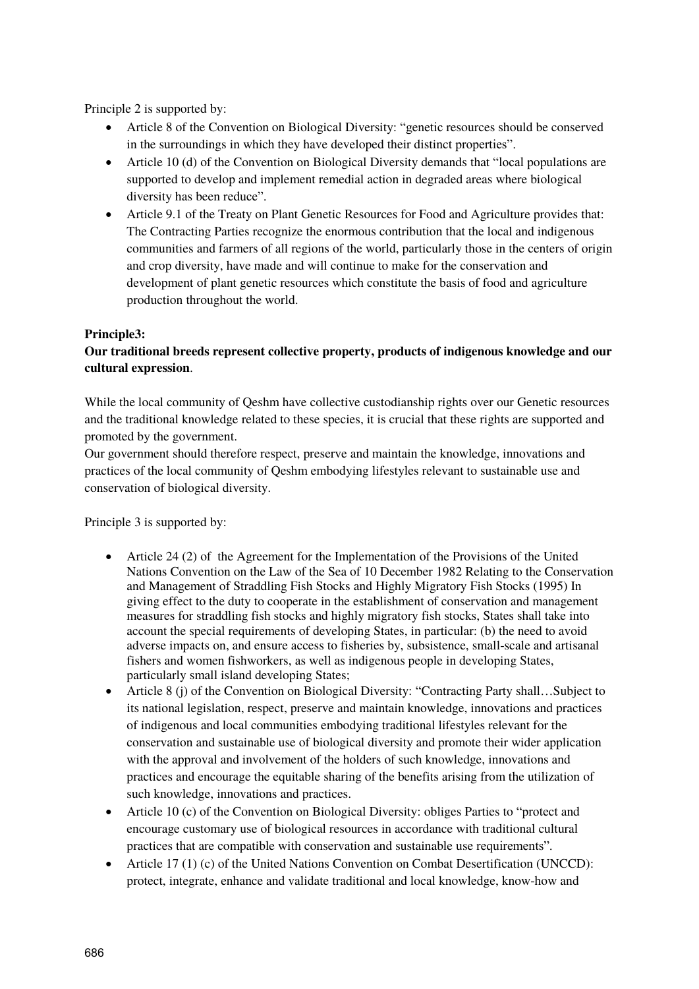Principle 2 is supported by:

- Article 8 of the Convention on Biological Diversity: "genetic resources should be conserved in the surroundings in which they have developed their distinct properties".
- Article 10 (d) of the Convention on Biological Diversity demands that "local populations are supported to develop and implement remedial action in degraded areas where biological diversity has been reduce".
- Article 9.1 of the Treaty on Plant Genetic Resources for Food and Agriculture provides that: The Contracting Parties recognize the enormous contribution that the local and indigenous communities and farmers of all regions of the world, particularly those in the centers of origin and crop diversity, have made and will continue to make for the conservation and development of plant genetic resources which constitute the basis of food and agriculture production throughout the world.

## **Principle3:**

# **Our traditional breeds represent collective property, products of indigenous knowledge and our cultural expression**.

While the local community of Qeshm have collective custodianship rights over our Genetic resources and the traditional knowledge related to these species, it is crucial that these rights are supported and promoted by the government.

Our government should therefore respect, preserve and maintain the knowledge, innovations and practices of the local community of Qeshm embodying lifestyles relevant to sustainable use and conservation of biological diversity.

Principle 3 is supported by:

- Article 24 (2) of the Agreement for the Implementation of the Provisions of the United Nations Convention on the Law of the Sea of 10 December 1982 Relating to the Conservation and Management of Straddling Fish Stocks and Highly Migratory Fish Stocks (1995) In giving effect to the duty to cooperate in the establishment of conservation and management measures for straddling fish stocks and highly migratory fish stocks, States shall take into account the special requirements of developing States, in particular: (b) the need to avoid adverse impacts on, and ensure access to fisheries by, subsistence, small-scale and artisanal fishers and women fishworkers, as well as indigenous people in developing States, particularly small island developing States;
- Article 8 (j) of the Convention on Biological Diversity: "Contracting Party shall…Subject to its national legislation, respect, preserve and maintain knowledge, innovations and practices of indigenous and local communities embodying traditional lifestyles relevant for the conservation and sustainable use of biological diversity and promote their wider application with the approval and involvement of the holders of such knowledge, innovations and practices and encourage the equitable sharing of the benefits arising from the utilization of such knowledge, innovations and practices.
- Article 10 (c) of the Convention on Biological Diversity: obliges Parties to "protect and encourage customary use of biological resources in accordance with traditional cultural practices that are compatible with conservation and sustainable use requirements".
- Article 17 (1) (c) of the United Nations Convention on Combat Desertification (UNCCD): protect, integrate, enhance and validate traditional and local knowledge, know-how and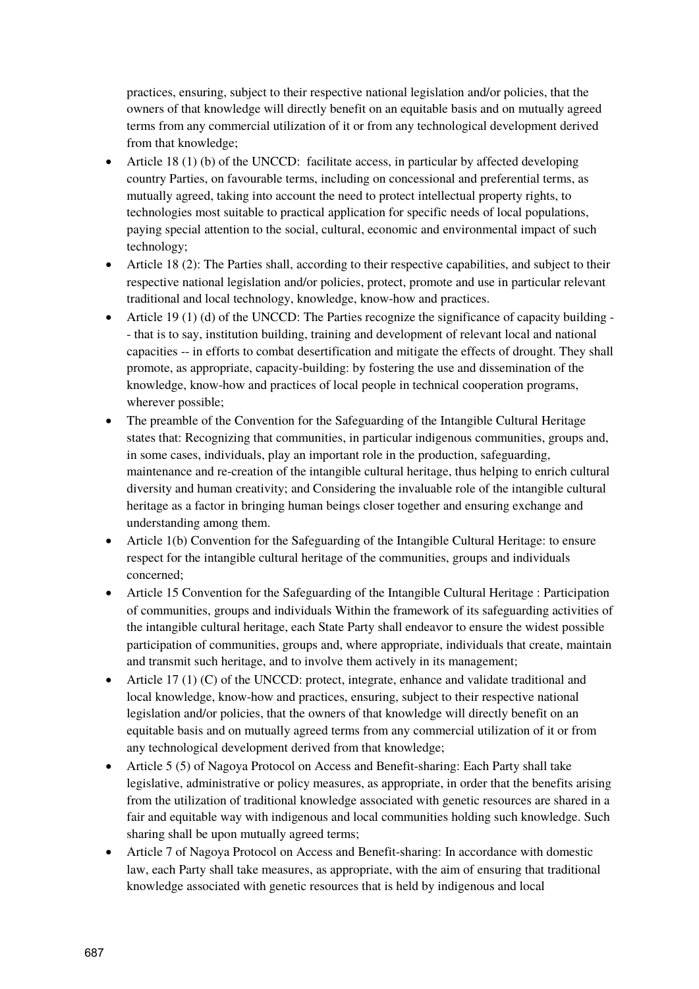practices, ensuring, subject to their respective national legislation and/or policies, that the owners of that knowledge will directly benefit on an equitable basis and on mutually agreed terms from any commercial utilization of it or from any technological development derived from that knowledge;

- Article 18 (1) (b) of the UNCCD: facilitate access, in particular by affected developing country Parties, on favourable terms, including on concessional and preferential terms, as mutually agreed, taking into account the need to protect intellectual property rights, to technologies most suitable to practical application for specific needs of local populations, paying special attention to the social, cultural, economic and environmental impact of such technology;
- Article 18 (2): The Parties shall, according to their respective capabilities, and subject to their respective national legislation and/or policies, protect, promote and use in particular relevant traditional and local technology, knowledge, know-how and practices.
- Article 19 (1) (d) of the UNCCD: The Parties recognize the significance of capacity building -- that is to say, institution building, training and development of relevant local and national capacities -- in efforts to combat desertification and mitigate the effects of drought. They shall promote, as appropriate, capacity-building: by fostering the use and dissemination of the knowledge, know-how and practices of local people in technical cooperation programs, wherever possible;
- The preamble of the Convention for the Safeguarding of the Intangible Cultural Heritage states that: Recognizing that communities, in particular indigenous communities, groups and, in some cases, individuals, play an important role in the production, safeguarding, maintenance and re-creation of the intangible cultural heritage, thus helping to enrich cultural diversity and human creativity; and Considering the invaluable role of the intangible cultural heritage as a factor in bringing human beings closer together and ensuring exchange and understanding among them.
- Article 1(b) Convention for the Safeguarding of the Intangible Cultural Heritage: to ensure respect for the intangible cultural heritage of the communities, groups and individuals concerned;
- Article 15 Convention for the Safeguarding of the Intangible Cultural Heritage : Participation of communities, groups and individuals Within the framework of its safeguarding activities of the intangible cultural heritage, each State Party shall endeavor to ensure the widest possible participation of communities, groups and, where appropriate, individuals that create, maintain and transmit such heritage, and to involve them actively in its management;
- Article 17 (1) (C) of the UNCCD: protect, integrate, enhance and validate traditional and local knowledge, know-how and practices, ensuring, subject to their respective national legislation and/or policies, that the owners of that knowledge will directly benefit on an equitable basis and on mutually agreed terms from any commercial utilization of it or from any technological development derived from that knowledge;
- Article 5 (5) of Nagoya Protocol on Access and Benefit-sharing: Each Party shall take legislative, administrative or policy measures, as appropriate, in order that the benefits arising from the utilization of traditional knowledge associated with genetic resources are shared in a fair and equitable way with indigenous and local communities holding such knowledge. Such sharing shall be upon mutually agreed terms;
- Article 7 of Nagoya Protocol on Access and Benefit-sharing: In accordance with domestic law, each Party shall take measures, as appropriate, with the aim of ensuring that traditional knowledge associated with genetic resources that is held by indigenous and local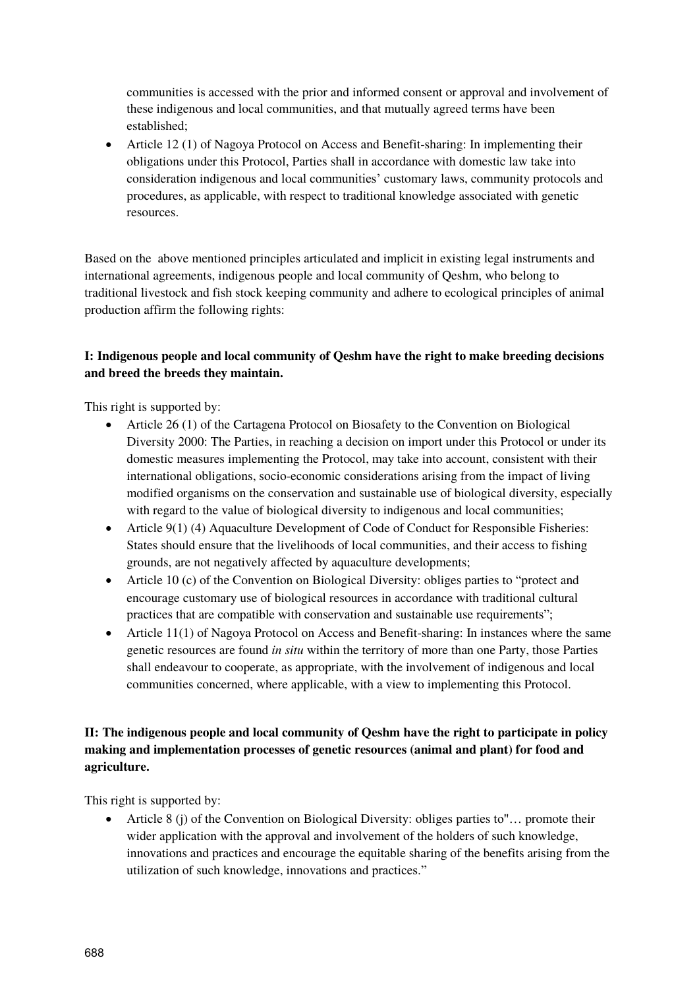communities is accessed with the prior and informed consent or approval and involvement of these indigenous and local communities, and that mutually agreed terms have been established;

 Article 12 (1) of Nagoya Protocol on Access and Benefit-sharing: In implementing their obligations under this Protocol, Parties shall in accordance with domestic law take into consideration indigenous and local communities' customary laws, community protocols and procedures, as applicable, with respect to traditional knowledge associated with genetic resources.

Based on the above mentioned principles articulated and implicit in existing legal instruments and international agreements, indigenous people and local community of Qeshm, who belong to traditional livestock and fish stock keeping community and adhere to ecological principles of animal production affirm the following rights:

# **I: Indigenous people and local community of Qeshm have the right to make breeding decisions and breed the breeds they maintain.**

This right is supported by:

- Article 26 (1) of the Cartagena Protocol on Biosafety to the Convention on Biological Diversity 2000: The Parties, in reaching a decision on import under this Protocol or under its domestic measures implementing the Protocol, may take into account, consistent with their international obligations, socio-economic considerations arising from the impact of living modified organisms on the conservation and sustainable use of biological diversity, especially with regard to the value of biological diversity to indigenous and local communities;
- Article 9(1) (4) Aquaculture Development of Code of Conduct for Responsible Fisheries: States should ensure that the livelihoods of local communities, and their access to fishing grounds, are not negatively affected by aquaculture developments;
- Article 10 (c) of the Convention on Biological Diversity: obliges parties to "protect and encourage customary use of biological resources in accordance with traditional cultural practices that are compatible with conservation and sustainable use requirements";
- Article 11(1) of Nagoya Protocol on Access and Benefit-sharing: In instances where the same genetic resources are found *in situ* within the territory of more than one Party, those Parties shall endeavour to cooperate, as appropriate, with the involvement of indigenous and local communities concerned, where applicable, with a view to implementing this Protocol.

# **II: The indigenous people and local community of Qeshm have the right to participate in policy making and implementation processes of genetic resources (animal and plant) for food and agriculture.**

This right is supported by:

• Article 8 (i) of the Convention on Biological Diversity: obliges parties to"... promote their wider application with the approval and involvement of the holders of such knowledge, innovations and practices and encourage the equitable sharing of the benefits arising from the utilization of such knowledge, innovations and practices."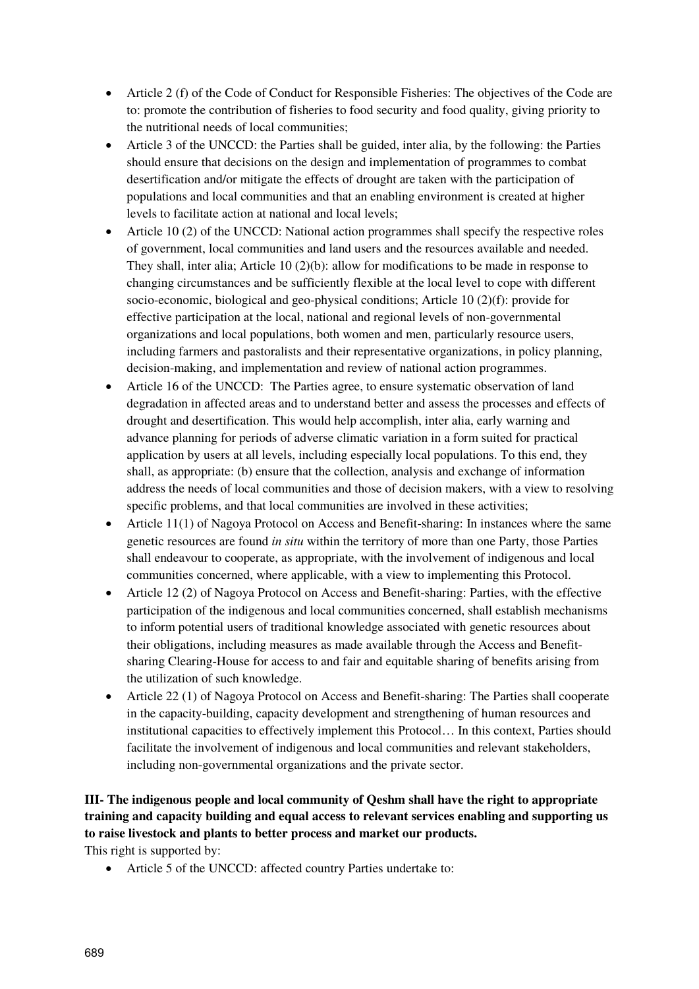- Article 2 (f) of the Code of Conduct for Responsible Fisheries: The objectives of the Code are to: promote the contribution of fisheries to food security and food quality, giving priority to the nutritional needs of local communities;
- Article 3 of the UNCCD: the Parties shall be guided, inter alia, by the following: the Parties should ensure that decisions on the design and implementation of programmes to combat desertification and/or mitigate the effects of drought are taken with the participation of populations and local communities and that an enabling environment is created at higher levels to facilitate action at national and local levels;
- Article 10 (2) of the UNCCD: National action programmes shall specify the respective roles of government, local communities and land users and the resources available and needed. They shall, inter alia; Article  $10 (2)(b)$ : allow for modifications to be made in response to changing circumstances and be sufficiently flexible at the local level to cope with different socio-economic, biological and geo-physical conditions; Article 10 (2)(f): provide for effective participation at the local, national and regional levels of non-governmental organizations and local populations, both women and men, particularly resource users, including farmers and pastoralists and their representative organizations, in policy planning, decision-making, and implementation and review of national action programmes.
- Article 16 of the UNCCD: The Parties agree, to ensure systematic observation of land degradation in affected areas and to understand better and assess the processes and effects of drought and desertification. This would help accomplish, inter alia, early warning and advance planning for periods of adverse climatic variation in a form suited for practical application by users at all levels, including especially local populations. To this end, they shall, as appropriate: (b) ensure that the collection, analysis and exchange of information address the needs of local communities and those of decision makers, with a view to resolving specific problems, and that local communities are involved in these activities;
- Article 11(1) of Nagoya Protocol on Access and Benefit-sharing: In instances where the same genetic resources are found *in situ* within the territory of more than one Party, those Parties shall endeavour to cooperate, as appropriate, with the involvement of indigenous and local communities concerned, where applicable, with a view to implementing this Protocol.
- Article 12 (2) of Nagoya Protocol on Access and Benefit-sharing: Parties, with the effective participation of the indigenous and local communities concerned, shall establish mechanisms to inform potential users of traditional knowledge associated with genetic resources about their obligations, including measures as made available through the Access and Benefitsharing Clearing-House for access to and fair and equitable sharing of benefits arising from the utilization of such knowledge.
- Article 22 (1) of Nagoya Protocol on Access and Benefit-sharing: The Parties shall cooperate in the capacity-building, capacity development and strengthening of human resources and institutional capacities to effectively implement this Protocol… In this context, Parties should facilitate the involvement of indigenous and local communities and relevant stakeholders, including non-governmental organizations and the private sector.

# **III- The indigenous people and local community of Qeshm shall have the right to appropriate training and capacity building and equal access to relevant services enabling and supporting us to raise livestock and plants to better process and market our products.**

This right is supported by:

Article 5 of the UNCCD: affected country Parties undertake to: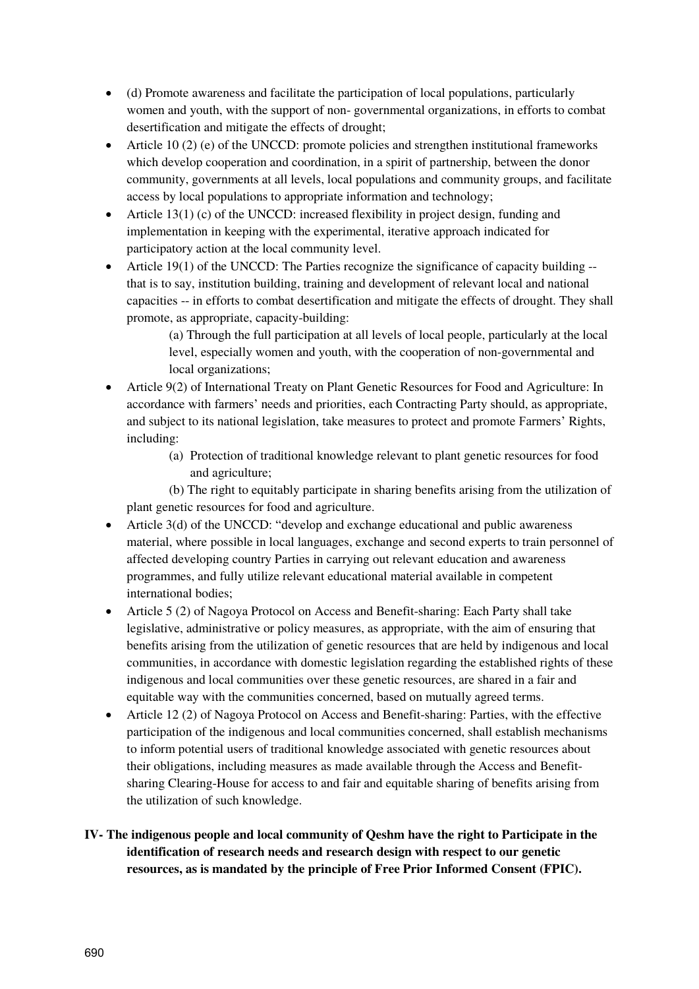- (d) Promote awareness and facilitate the participation of local populations, particularly women and youth, with the support of non- governmental organizations, in efforts to combat desertification and mitigate the effects of drought;
- Article 10 (2) (e) of the UNCCD: promote policies and strengthen institutional frameworks which develop cooperation and coordination, in a spirit of partnership, between the donor community, governments at all levels, local populations and community groups, and facilitate access by local populations to appropriate information and technology;
- Article 13(1) (c) of the UNCCD: increased flexibility in project design, funding and implementation in keeping with the experimental, iterative approach indicated for participatory action at the local community level.
- Article 19(1) of the UNCCD: The Parties recognize the significance of capacity building that is to say, institution building, training and development of relevant local and national capacities -- in efforts to combat desertification and mitigate the effects of drought. They shall promote, as appropriate, capacity-building:

(a) Through the full participation at all levels of local people, particularly at the local level, especially women and youth, with the cooperation of non-governmental and local organizations;

- Article 9(2) of International Treaty on Plant Genetic Resources for Food and Agriculture: In accordance with farmers' needs and priorities, each Contracting Party should, as appropriate, and subject to its national legislation, take measures to protect and promote Farmers' Rights, including:
	- (a) Protection of traditional knowledge relevant to plant genetic resources for food and agriculture;

(b) The right to equitably participate in sharing benefits arising from the utilization of plant genetic resources for food and agriculture.

- Article 3(d) of the UNCCD: "develop and exchange educational and public awareness material, where possible in local languages, exchange and second experts to train personnel of affected developing country Parties in carrying out relevant education and awareness programmes, and fully utilize relevant educational material available in competent international bodies;
- Article 5 (2) of Nagoya Protocol on Access and Benefit-sharing: Each Party shall take legislative, administrative or policy measures, as appropriate, with the aim of ensuring that benefits arising from the utilization of genetic resources that are held by indigenous and local communities, in accordance with domestic legislation regarding the established rights of these indigenous and local communities over these genetic resources, are shared in a fair and equitable way with the communities concerned, based on mutually agreed terms.
- Article 12 (2) of Nagoya Protocol on Access and Benefit-sharing: Parties, with the effective participation of the indigenous and local communities concerned, shall establish mechanisms to inform potential users of traditional knowledge associated with genetic resources about their obligations, including measures as made available through the Access and Benefitsharing Clearing-House for access to and fair and equitable sharing of benefits arising from the utilization of such knowledge.
- **IV- The indigenous people and local community of Qeshm have the right to Participate in the identification of research needs and research design with respect to our genetic resources, as is mandated by the principle of Free Prior Informed Consent (FPIC).**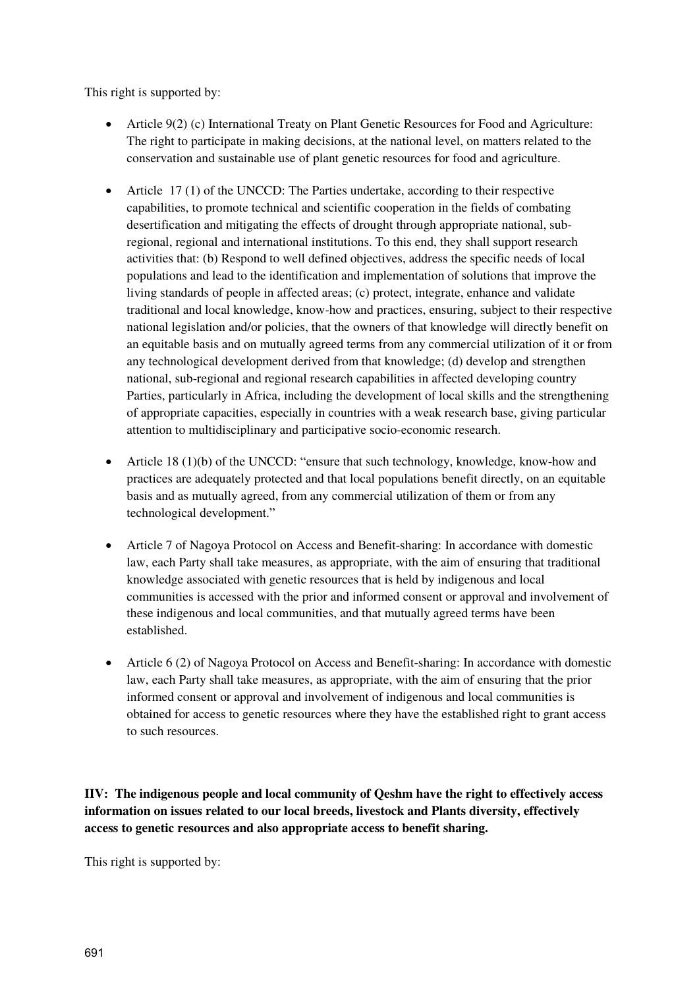This right is supported by:

- Article 9(2) (c) International Treaty on Plant Genetic Resources for Food and Agriculture: The right to participate in making decisions, at the national level, on matters related to the conservation and sustainable use of plant genetic resources for food and agriculture.
- Article 17 (1) of the UNCCD: The Parties undertake, according to their respective capabilities, to promote technical and scientific cooperation in the fields of combating desertification and mitigating the effects of drought through appropriate national, subregional, regional and international institutions. To this end, they shall support research activities that: (b) Respond to well defined objectives, address the specific needs of local populations and lead to the identification and implementation of solutions that improve the living standards of people in affected areas; (c) protect, integrate, enhance and validate traditional and local knowledge, know-how and practices, ensuring, subject to their respective national legislation and/or policies, that the owners of that knowledge will directly benefit on an equitable basis and on mutually agreed terms from any commercial utilization of it or from any technological development derived from that knowledge; (d) develop and strengthen national, sub-regional and regional research capabilities in affected developing country Parties, particularly in Africa, including the development of local skills and the strengthening of appropriate capacities, especially in countries with a weak research base, giving particular attention to multidisciplinary and participative socio-economic research.
- Article 18 (1)(b) of the UNCCD: "ensure that such technology, knowledge, know-how and practices are adequately protected and that local populations benefit directly, on an equitable basis and as mutually agreed, from any commercial utilization of them or from any technological development."
- Article 7 of Nagoya Protocol on Access and Benefit-sharing: In accordance with domestic law, each Party shall take measures, as appropriate, with the aim of ensuring that traditional knowledge associated with genetic resources that is held by indigenous and local communities is accessed with the prior and informed consent or approval and involvement of these indigenous and local communities, and that mutually agreed terms have been established.
- Article 6 (2) of Nagoya Protocol on Access and Benefit-sharing: In accordance with domestic law, each Party shall take measures, as appropriate, with the aim of ensuring that the prior informed consent or approval and involvement of indigenous and local communities is obtained for access to genetic resources where they have the established right to grant access to such resources.

**IIV: The indigenous people and local community of Qeshm have the right to effectively access information on issues related to our local breeds, livestock and Plants diversity, effectively access to genetic resources and also appropriate access to benefit sharing.** 

This right is supported by: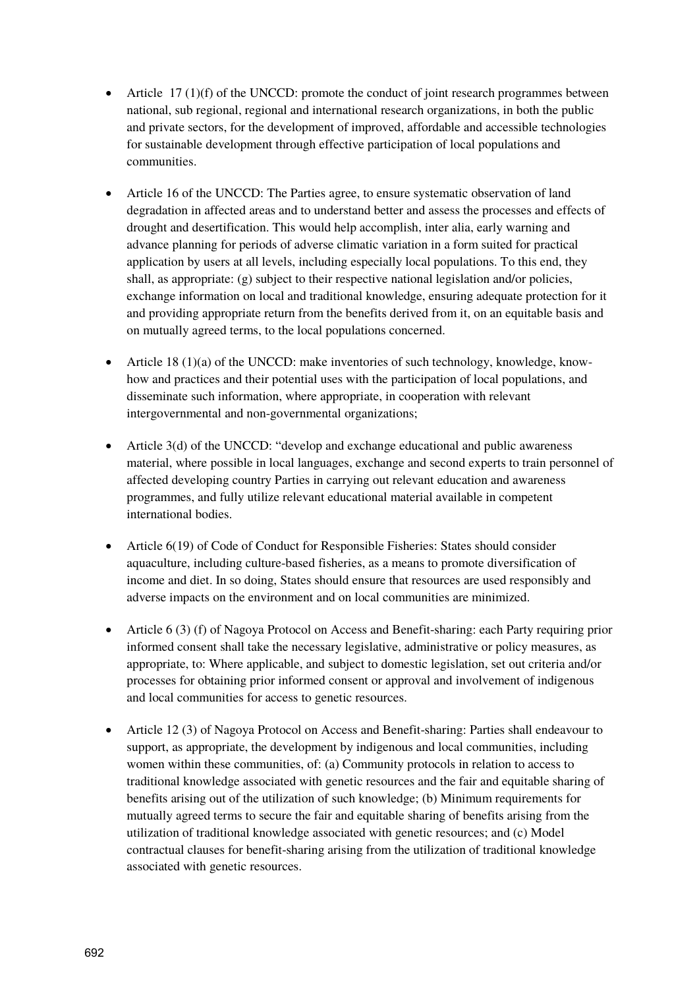- Article  $17 \text{ (1)}(f)$  of the UNCCD: promote the conduct of joint research programmes between national, sub regional, regional and international research organizations, in both the public and private sectors, for the development of improved, affordable and accessible technologies for sustainable development through effective participation of local populations and communities.
- Article 16 of the UNCCD: The Parties agree, to ensure systematic observation of land degradation in affected areas and to understand better and assess the processes and effects of drought and desertification. This would help accomplish, inter alia, early warning and advance planning for periods of adverse climatic variation in a form suited for practical application by users at all levels, including especially local populations. To this end, they shall, as appropriate: (g) subject to their respective national legislation and/or policies, exchange information on local and traditional knowledge, ensuring adequate protection for it and providing appropriate return from the benefits derived from it, on an equitable basis and on mutually agreed terms, to the local populations concerned.
- Article 18 (1)(a) of the UNCCD: make inventories of such technology, knowledge, knowhow and practices and their potential uses with the participation of local populations, and disseminate such information, where appropriate, in cooperation with relevant intergovernmental and non-governmental organizations;
- Article 3(d) of the UNCCD: "develop and exchange educational and public awareness material, where possible in local languages, exchange and second experts to train personnel of affected developing country Parties in carrying out relevant education and awareness programmes, and fully utilize relevant educational material available in competent international bodies.
- Article 6(19) of Code of Conduct for Responsible Fisheries: States should consider aquaculture, including culture-based fisheries, as a means to promote diversification of income and diet. In so doing, States should ensure that resources are used responsibly and adverse impacts on the environment and on local communities are minimized.
- Article 6 (3) (f) of Nagoya Protocol on Access and Benefit-sharing: each Party requiring prior informed consent shall take the necessary legislative, administrative or policy measures, as appropriate, to: Where applicable, and subject to domestic legislation, set out criteria and/or processes for obtaining prior informed consent or approval and involvement of indigenous and local communities for access to genetic resources.
- Article 12 (3) of Nagoya Protocol on Access and Benefit-sharing: Parties shall endeavour to support, as appropriate, the development by indigenous and local communities, including women within these communities, of: (a) Community protocols in relation to access to traditional knowledge associated with genetic resources and the fair and equitable sharing of benefits arising out of the utilization of such knowledge; (b) Minimum requirements for mutually agreed terms to secure the fair and equitable sharing of benefits arising from the utilization of traditional knowledge associated with genetic resources; and (c) Model contractual clauses for benefit-sharing arising from the utilization of traditional knowledge associated with genetic resources.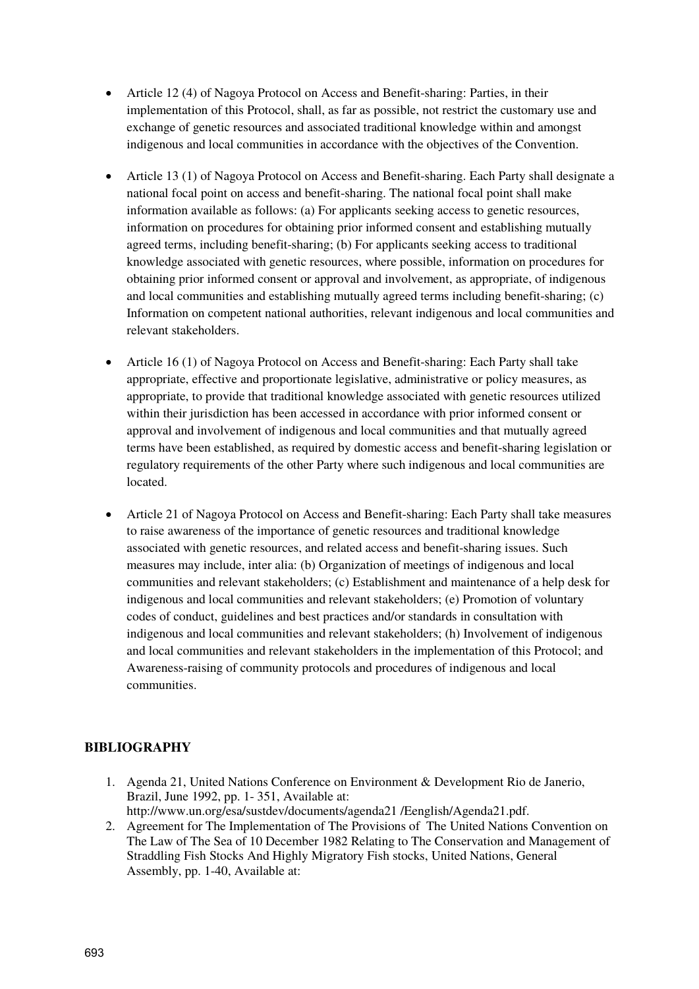- Article 12 (4) of Nagoya Protocol on Access and Benefit-sharing: Parties, in their implementation of this Protocol, shall, as far as possible, not restrict the customary use and exchange of genetic resources and associated traditional knowledge within and amongst indigenous and local communities in accordance with the objectives of the Convention.
- Article 13 (1) of Nagoya Protocol on Access and Benefit-sharing. Each Party shall designate a national focal point on access and benefit-sharing. The national focal point shall make information available as follows: (a) For applicants seeking access to genetic resources, information on procedures for obtaining prior informed consent and establishing mutually agreed terms, including benefit-sharing; (b) For applicants seeking access to traditional knowledge associated with genetic resources, where possible, information on procedures for obtaining prior informed consent or approval and involvement, as appropriate, of indigenous and local communities and establishing mutually agreed terms including benefit-sharing; (c) Information on competent national authorities, relevant indigenous and local communities and relevant stakeholders.
- Article 16 (1) of Nagoya Protocol on Access and Benefit-sharing: Each Party shall take appropriate, effective and proportionate legislative, administrative or policy measures, as appropriate, to provide that traditional knowledge associated with genetic resources utilized within their jurisdiction has been accessed in accordance with prior informed consent or approval and involvement of indigenous and local communities and that mutually agreed terms have been established, as required by domestic access and benefit-sharing legislation or regulatory requirements of the other Party where such indigenous and local communities are located.
- Article 21 of Nagoya Protocol on Access and Benefit-sharing: Each Party shall take measures to raise awareness of the importance of genetic resources and traditional knowledge associated with genetic resources, and related access and benefit-sharing issues. Such measures may include, inter alia: (b) Organization of meetings of indigenous and local communities and relevant stakeholders; (c) Establishment and maintenance of a help desk for indigenous and local communities and relevant stakeholders; (e) Promotion of voluntary codes of conduct, guidelines and best practices and/or standards in consultation with indigenous and local communities and relevant stakeholders; (h) Involvement of indigenous and local communities and relevant stakeholders in the implementation of this Protocol; and Awareness-raising of community protocols and procedures of indigenous and local communities.

# **BIBLIOGRAPHY**

- 1. Agenda 21, United Nations Conference on Environment & Development Rio de Janerio, Brazil, June 1992, pp. 1- 351, Available at: http://www.un.org/esa/sustdev/documents/agenda21 /Eenglish/Agenda21.pdf.
- 2. Agreement for The Implementation of The Provisions of The United Nations Convention on The Law of The Sea of 10 December 1982 Relating to The Conservation and Management of Straddling Fish Stocks And Highly Migratory Fish stocks, United Nations, General Assembly, pp. 1-40, Available at: